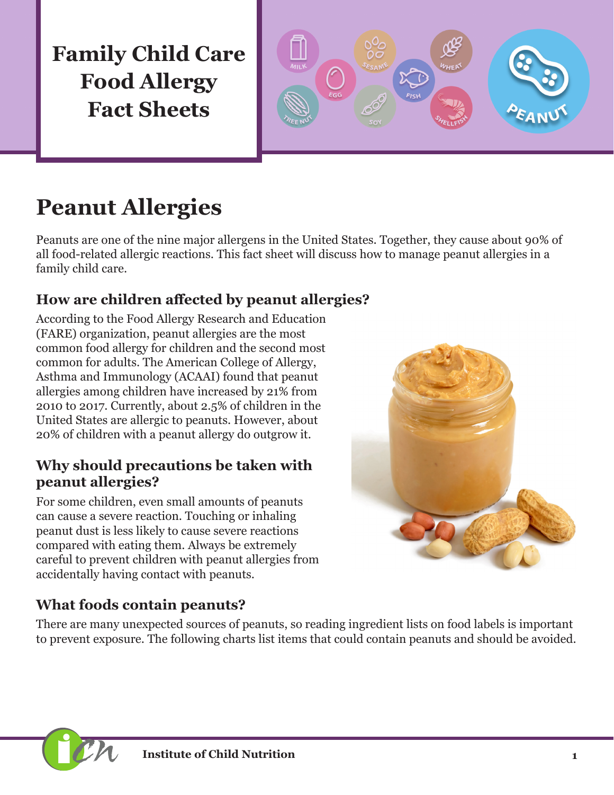**Family Child Care Food Allergy Fact Sheets**



# **Peanut Allergies**

Peanuts are one of the nine major allergens in the United States. Together, they cause about 90% of all food-related allergic reactions. This fact sheet will discuss how to manage peanut allergies in a family child care.

### **How are children affected by peanut allergies?**

According to the Food Allergy Research and Education (FARE) organization, peanut allergies are the most common food allergy for children and the second most common for adults. The American College of Allergy, Asthma and Immunology (ACAAI) found that peanut allergies among children have increased by 21% from 2010 to 2017. Currently, about 2.5% of children in the United States are allergic to peanuts. However, about 20% of children with a peanut allergy do outgrow it.

#### **Why should precautions be taken with peanut allergies?**

For some children, even small amounts of peanuts can cause a severe reaction. Touching or inhaling peanut dust is less likely to cause severe reactions compared with eating them. Always be extremely careful to prevent children with peanut allergies from accidentally having contact with peanuts.



### **What foods contain peanuts?**

There are many unexpected sources of peanuts, so reading ingredient lists on food labels is important to prevent exposure. The following charts list items that could contain peanuts and should be avoided.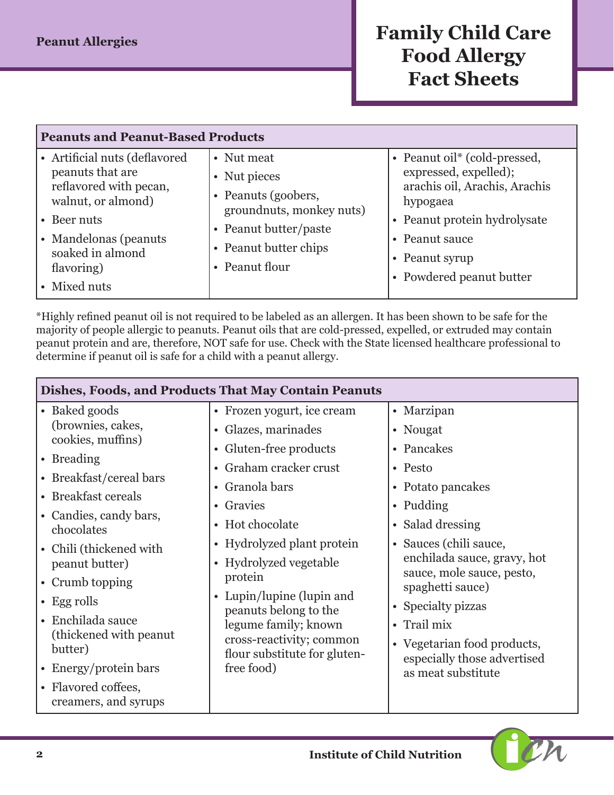# **Peanut Allergies** *Family Child Care* **Food Allergy Fact Sheets**

| <b>Peanuts and Peanut-Based Products</b>                                                                                                                                                          |                                                                                                                                                   |                                                                                                                                                                                                    |  |
|---------------------------------------------------------------------------------------------------------------------------------------------------------------------------------------------------|---------------------------------------------------------------------------------------------------------------------------------------------------|----------------------------------------------------------------------------------------------------------------------------------------------------------------------------------------------------|--|
| • Artificial nuts (deflavored<br>peanuts that are<br>reflavored with pecan,<br>walnut, or almond)<br>$\cdot$ Beer nuts<br>• Mandelonas (peanuts<br>soaked in almond<br>flavoring)<br>• Mixed nuts | • Nut meat<br>• Nut pieces<br>• Peanuts (goobers,<br>groundnuts, monkey nuts)<br>• Peanut butter/paste<br>• Peanut butter chips<br>• Peanut flour | • Peanut oil* (cold-pressed,<br>expressed, expelled);<br>arachis oil, Arachis, Arachis<br>hypogaea<br>• Peanut protein hydrolysate<br>• Peanut sauce<br>• Peanut syrup<br>• Powdered peanut butter |  |
|                                                                                                                                                                                                   |                                                                                                                                                   |                                                                                                                                                                                                    |  |

\*Highly refined peanut oil is not required to be labeled as an allergen. It has been shown to be safe for the majority of people allergic to peanuts. Peanut oils that are cold-pressed, expelled, or extruded may contain peanut protein and are, therefore, NOT safe for use. Check with the State licensed healthcare professional to determine if peanut oil is safe for a child with a peanut allergy.

| Dishes, Foods, and Products That May Contain Peanuts |                                                                                                                                                                                         |                                                                                                    |  |  |
|------------------------------------------------------|-----------------------------------------------------------------------------------------------------------------------------------------------------------------------------------------|----------------------------------------------------------------------------------------------------|--|--|
| • Baked goods                                        | • Frozen yogurt, ice cream                                                                                                                                                              | • Marzipan                                                                                         |  |  |
| (brownies, cakes,                                    | • Glazes, marinades                                                                                                                                                                     | • Nougat                                                                                           |  |  |
| cookies, muffins)                                    | • Gluten-free products                                                                                                                                                                  | • Pancakes                                                                                         |  |  |
| • Breading                                           | • Graham cracker crust                                                                                                                                                                  | • Pesto                                                                                            |  |  |
| • Breakfast/cereal bars                              | • Granola bars                                                                                                                                                                          | • Potato pancakes                                                                                  |  |  |
| • Breakfast cereals                                  | • Gravies                                                                                                                                                                               | • Pudding                                                                                          |  |  |
| • Candies, candy bars,<br>chocolates                 | • Hot chocolate                                                                                                                                                                         | • Salad dressing                                                                                   |  |  |
| • Chili (thickened with                              | • Hydrolyzed plant protein                                                                                                                                                              | • Sauces (chili sauce,                                                                             |  |  |
| peanut butter)                                       | • Hydrolyzed vegetable<br>protein<br>Lupin/lupine (lupin and<br>peanuts belong to the<br>legume family; known<br>cross-reactivity; common<br>flour substitute for gluten-<br>free food) | enchilada sauce, gravy, hot<br>sauce, mole sauce, pesto,<br>spaghetti sauce)<br>• Specialty pizzas |  |  |
| • Crumb topping                                      |                                                                                                                                                                                         |                                                                                                    |  |  |
| • Egg rolls                                          |                                                                                                                                                                                         |                                                                                                    |  |  |
| • Enchilada sauce                                    |                                                                                                                                                                                         | • Trail mix                                                                                        |  |  |
| (thickened with peanut)<br>butter)                   |                                                                                                                                                                                         | • Vegetarian food products,<br>especially those advertised<br>as meat substitute                   |  |  |
| • Energy/protein bars                                |                                                                                                                                                                                         |                                                                                                    |  |  |
| • Flavored coffees,<br>creamers, and syrups          |                                                                                                                                                                                         |                                                                                                    |  |  |

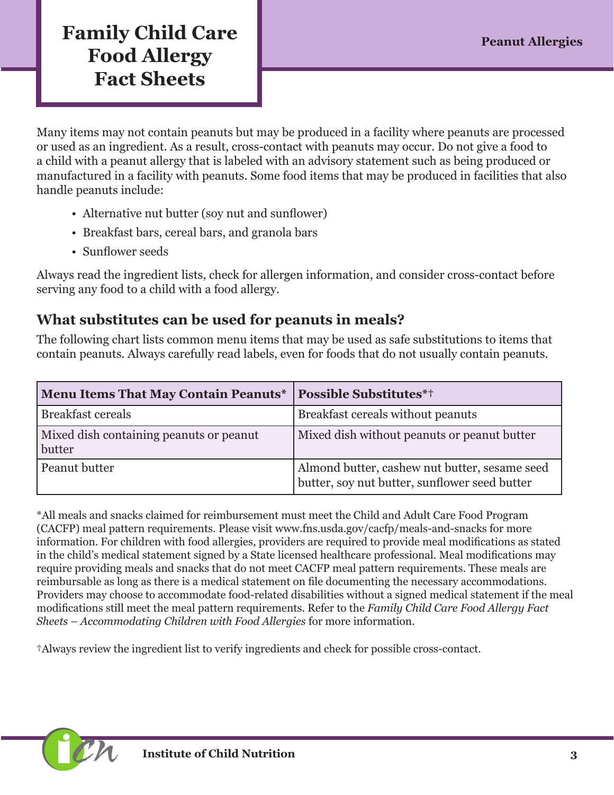# **Family Child Care Food Allergy Fact Sheets**

Many items may not contain peanuts but may be produced in a facility where peanuts are processed or used as an ingredient. As a result, cross-contact with peanuts may occur. Do not give a food to a child with a peanut allergy that is labeled with an advisory statement such as being produced or manufactured in a facility with peanuts. Some food items that may be produced in facilities that also handle peanuts include:

- Alternative nut butter (soy nut and sunflower)
- Breakfast bars, cereal bars, and granola bars
- Sunflower seeds

Always read the ingredient lists, check for allergen information, and consider cross-contact before serving any food to a child with a food allergy.

#### **What substitutes can be used for peanuts in meals?**

The following chart lists common menu items that may be used as safe substitutions to items that contain peanuts. Always carefully read labels, even for foods that do not usually contain peanuts.

| <b>Menu Items That May Contain Peanuts*</b>       | <b>Possible Substitutes*†</b>                                                                  |
|---------------------------------------------------|------------------------------------------------------------------------------------------------|
| <b>Breakfast cereals</b>                          | Breakfast cereals without peanuts                                                              |
| Mixed dish containing peanuts or peanut<br>butter | Mixed dish without peanuts or peanut butter                                                    |
| Peanut butter                                     | Almond butter, cashew nut butter, sesame seed<br>butter, soy nut butter, sunflower seed butter |

\*All meals and snacks claimed for reimbursement must meet the Child and Adult Care Food Program (CACFP) meal pattern requirements. Please visit [www.fns.usda.gov/cacfp/meals-and-snacks](http://www.fns.usda.gov/cacfp/meals-and-snacks) for more information. For children with food allergies, providers are required to provide meal modifications as stated in the child's medical statement signed by a State licensed healthcare professional. Meal modifications may require providing meals and snacks that do not meet CACFP meal pattern requirements. These meals are reimbursable as long as there is a medical statement on file documenting the necessary accommodations. Providers may choose to accommodate food-related disabilities without a signed medical statement if the meal modifications still meet the meal pattern requirements. Refer to the *Family Child Care Food Allergy Fact Sheets – Accommodating Children with Food Allergies* for more information.

†Always review the ingredient list to verify ingredients and check for possible cross-contact.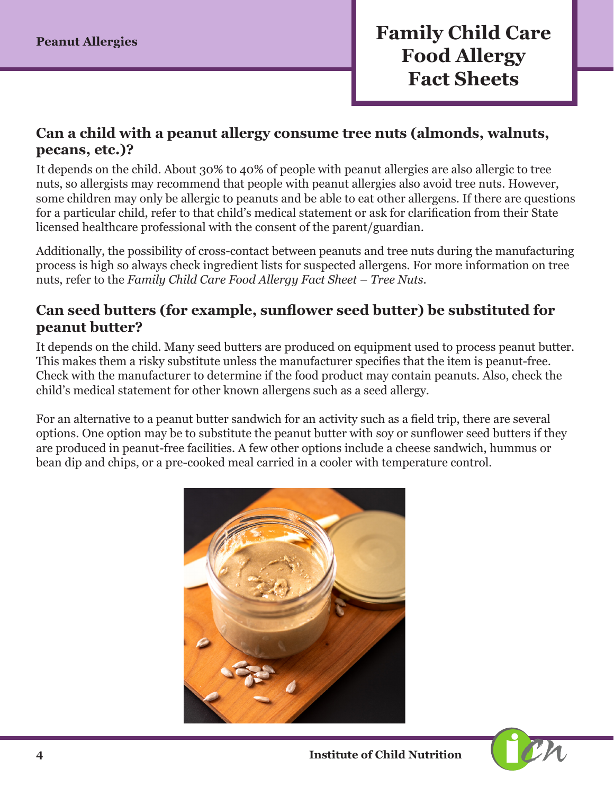#### **Can a child with a peanut allergy consume tree nuts (almonds, walnuts, pecans, etc.)?**

It depends on the child. About 30% to 40% of people with peanut allergies are also allergic to tree nuts, so allergists may recommend that people with peanut allergies also avoid tree nuts. However, some children may only be allergic to peanuts and be able to eat other allergens. If there are questions for a particular child, refer to that child's medical statement or ask for clarification from their State licensed healthcare professional with the consent of the parent/guardian.

Additionally, the possibility of cross-contact between peanuts and tree nuts during the manufacturing process is high so always check ingredient lists for suspected allergens. For more information on tree nuts, refer to the *Family Child Care Food Allergy Fact Sheet – Tree Nuts*.

#### **Can seed butters (for example, sunflower seed butter) be substituted for peanut butter?**

It depends on the child. Many seed butters are produced on equipment used to process peanut butter. This makes them a risky substitute unless the manufacturer specifies that the item is peanut-free. Check with the manufacturer to determine if the food product may contain peanuts. Also, check the child's medical statement for other known allergens such as a seed allergy.

For an alternative to a peanut butter sandwich for an activity such as a field trip, there are several options. One option may be to substitute the peanut butter with soy or sunflower seed butters if they are produced in peanut-free facilities. A few other options include a cheese sandwich, hummus or bean dip and chips, or a pre-cooked meal carried in a cooler with temperature control.



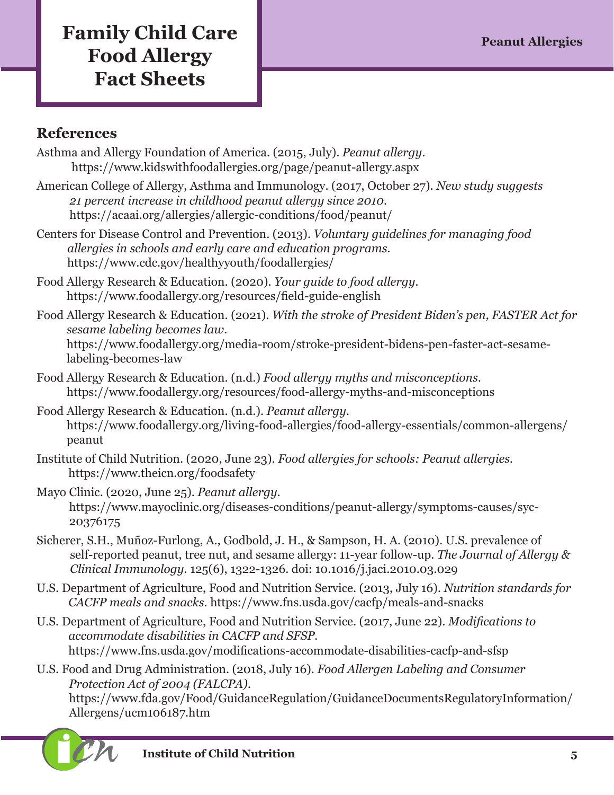# **Family Child Care Peanut Allergies Food Allergy Fact Sheets**

#### **References**

- Asthma and Allergy Foundation of America. (2015, July). *Peanut allergy*. [https://www.kidswithfoodallergies.org/page/peanut-allergy.aspx](http://www.kidswithfoodallergies.org/page/peanut-allergy.aspx)
- American College of Allergy, Asthma and Immunology. (2017, October 27). *New study suggests 21 percent increase in childhood peanut allergy since 2010.* <https://acaai.org/allergies/allergic-conditions/food/peanut/>
- Centers for Disease Control and Prevention. (2013). *Voluntary guidelines for managing food allergies in schools and early care and education programs.* <https://www.cdc.gov/healthyyouth/foodallergies/>
- Food Allergy Research & Education. (2020). *Your guide to food allergy.*  <https://www.foodallergy.org/resources/field-guide-english>
- Food Allergy Research & Education. (2021). *With the stroke of President Biden's pen, FASTER Act for sesame labeling becomes law.*  [https://www.foodallergy.org/media-room/stroke-president-bidens-pen-faster-act-sesame](https://www.foodallergy.org/media-room/stroke-president-bidens-pen-faster-act-sesame-labeling-becomes-law)[labeling-becomes-law](https://www.foodallergy.org/media-room/stroke-president-bidens-pen-faster-act-sesame-labeling-becomes-law)
- Food Allergy Research & Education. (n.d.) *Food allergy myths and misconceptions*. <https://www.foodallergy.org/resources/food-allergy-myths-and-misconceptions>
- Food Allergy Research & Education. (n.d.). *Peanut allergy.* [https://www.foodallergy.org/living-food-allergies/food-allergy-essentials/common-allergens/](https://www.foodallergy.org/living-food-allergies/food-allergy-essentials/common-allergens/peanut) [peanut](https://www.foodallergy.org/living-food-allergies/food-allergy-essentials/common-allergens/peanut)
- Institute of Child Nutrition. (2020, June 23). *Food allergies for schools: Peanut allergies.* <https://www.theicn.org/foodsafety>
- Mayo Clinic. (2020, June 25). *Peanut allergy.* [https://www.mayoclinic.org/diseases-conditions/peanut-allergy/symptoms-causes/syc-](https://www.mayoclinic.org/diseases-conditions/peanut-allergy/symptoms-causes/syc-20376175)[20376175](https://www.mayoclinic.org/diseases-conditions/peanut-allergy/symptoms-causes/syc-20376175)
- Sicherer, S.H., Muñoz-Furlong, A., Godbold, J. H., & Sampson, H. A. (2010). U.S. prevalence of self-reported peanut, tree nut, and sesame allergy: 11-year follow-up. *The Journal of Allergy & Clinical Immunology.* 125(6), 1322-1326. doi: 10.1016/j.jaci.2010.03.029
- U.S. Department of Agriculture, Food and Nutrition Service. (2013, July 16)*. Nutrition standards for CACFP meals and snacks.* <https://www.fns.usda.gov/cacfp/meals-and-snacks>
- U.S. Department of Agriculture, Food and Nutrition Service. (2017, June 22). *Modifications to accommodate disabilities in CACFP and SFSP.* <https://www.fns.usda.gov/modifications-accommodate-disabilities-cacfp-and-sfsp>
- U.S. Food and Drug Administration. (2018, July 16). *Food Allergen Labeling and Consumer Protection Act of 2004 (FALCPA).*  [https://www.fda.gov/Food/GuidanceRegulation/GuidanceDocumentsRegulatoryInformation/](https://www.fda.gov/Food/GuidanceRegulation/GuidanceDocumentsRegulatoryInformation/Allergens/ucm106187.htm) [Allergens/ucm106187.htm](https://www.fda.gov/Food/GuidanceRegulation/GuidanceDocumentsRegulatoryInformation/Allergens/ucm106187.htm)



**i Institute of Child Nutrition** 5